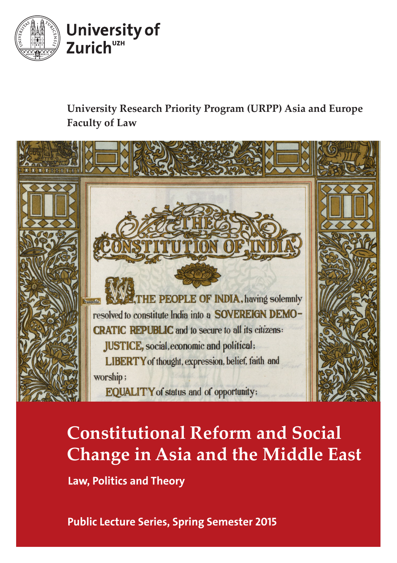

## **University Research Priority Program (URPP) Asia and Europe Faculty of Law**



# **Constitutional Reform and Social Change in Asia and the Middle East** Law, Politics and Theory

Public Lecture Series, Spring Semester 2015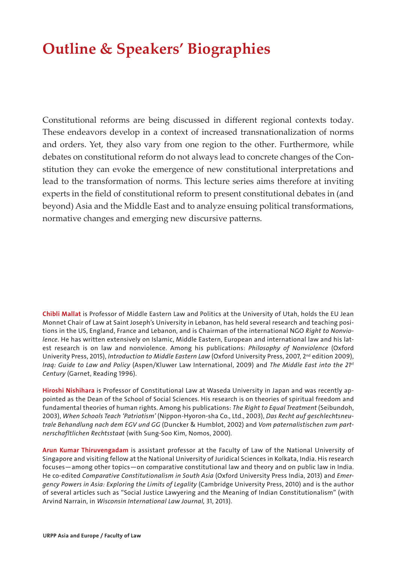## **Outline & Speakers' Biographies**

Constitutional reforms are being discussed in different regional contexts today. These endeavors develop in a context of increased transnationalization of norms and orders. Yet, they also vary from one region to the other. Furthermore, while debates on constitutional reform do not always lead to concrete changes of the Constitution they can evoke the emergence of new constitutional interpretations and lead to the transformation of norms. This lecture series aims therefore at inviting experts in the field of constitutional reform to present constitutional debates in (and beyond) Asia and the Middle East and to analyze ensuing political transformations, normative changes and emerging new discursive patterns.

Chibli Mallat is Professor of Middle Eastern Law and Politics at the University of Utah, holds the EU Jean Monnet Chair of Law at Saint Joseph's University in Lebanon, has held several research and teaching positions in the US, England, France and Lebanon, and is Chairman of the international NGO *Right to Nonviolence*. He has written extensively on Islamic, Middle Eastern, European and international law and his latest research is on law and nonviolence. Among his publications: *Philosophy of Nonviolence* (Oxford Univerity Press, 2015), *Introduction to Middle Eastern Law* (Oxford University Press, 2007, 2<sup>nd</sup> edition 2009), *Iraq: Guide to Law and Policy* (Aspen/Kluwer Law International, 2009) and *The Middle East into the 21st Century* (Garnet, Reading 1996).

Hiroshi Nishihara is Professor of Constitutional Law at Waseda University in Japan and was recently appointed as the Dean of the School of Social Sciences. His research is on theories of spiritual freedom and fundamental theories of human rights. Among his publications: *The Right to Equal Treatment* (Seibundoh, 2003), *When Schools Teach 'Patriotism'* (Nippon-Hyoron-sha Co., Ltd., 2003), *Das Recht auf geschlechtsneutrale Behandlung nach dem EGV und GG* (Duncker & Humblot, 2002) and *Vom paternalistischen zum partnerschafltlichen Rechtsstaat* (with Sung-Soo Kim, Nomos, 2000).

Arun Kumar Thiruvengadam is assistant professor at the Faculty of Law of the National University of Singapore and visiting fellow at the National University of Juridical Sciences in Kolkata, India. His research focuses—among other topics—on comparative constitutional law and theory and on public law in India. He co-edited *Comparative Constitutionalism in South Asia* (Oxford University Press India, 2013) and *Emergency Powers in Asia: Exploring the Limits of Legality* (Cambridge University Press, 2010) and is the author of several articles such as "Social Justice Lawyering and the Meaning of Indian Constitutionalism" (with Arvind Narrain, in *Wisconsin International Law Journal,* 31, 2013).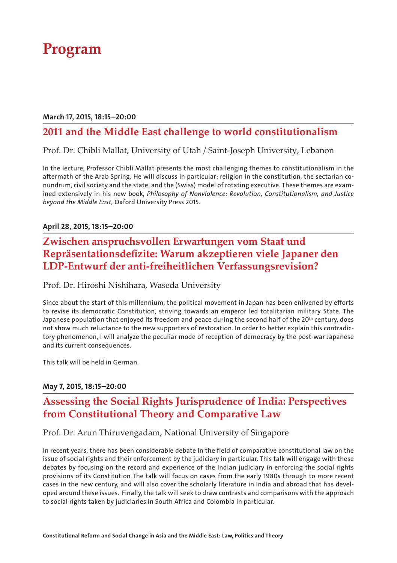## **Program**

#### March 17, 2015, 18:15–20:00

### **2011 and the Middle East challenge to world constitutionalism**

#### Prof. Dr. Chibli Mallat, University of Utah / Saint-Joseph University, Lebanon

In the lecture, Professor Chibli Mallat presents the most challenging themes to constitutionalism in the aftermath of the Arab Spring. He will discuss in particular: religion in the constitution, the sectarian conundrum, civil society and the state, and the (Swiss) model of rotating executive. These themes are examined extensively in his new book, *Philosophy of Nonviolence: Revolution, Constitutionalism, and Justice beyond the Middle East,* Oxford University Press 2015.

#### April 28, 2015, 18:15–20:00

### **Zwischen anspruchsvollen Erwartungen vom Staat und Repräsentationsdefizite: Warum akzeptieren viele Japaner den LDP-Entwurf der anti-freiheitlichen Verfassungsrevision?**

Prof. Dr. Hiroshi Nishihara, Waseda University

Since about the start of this millennium, the political movement in Japan has been enlivened by efforts to revise its democratic Constitution, striving towards an emperor led totalitarian military State. The Japanese population that enjoyed its freedom and peace during the second half of the 20<sup>th</sup> century, does not show much reluctance to the new supporters of restoration. In order to better explain this contradictory phenomenon, I will analyze the peculiar mode of reception of democracy by the post-war Japanese and its current consequences.

This talk will be held in German.

#### May 7, 2015, 18:15–20:00

### **Assessing the Social Rights Jurisprudence of India: Perspectives from Constitutional Theory and Comparative Law**

#### Prof. Dr. Arun Thiruvengadam, National University of Singapore

In recent years, there has been considerable debate in the field of comparative constitutional law on the issue of social rights and their enforcement by the judiciary in particular. This talk will engage with these debates by focusing on the record and experience of the Indian judiciary in enforcing the social rights provisions of its Constitution The talk will focus on cases from the early 1980s through to more recent cases in the new century, and will also cover the scholarly literature in India and abroad that has developed around these issues. Finally, the talk will seek to draw contrasts and comparisons with the approach to social rights taken by judiciaries in South Africa and Colombia in particular.